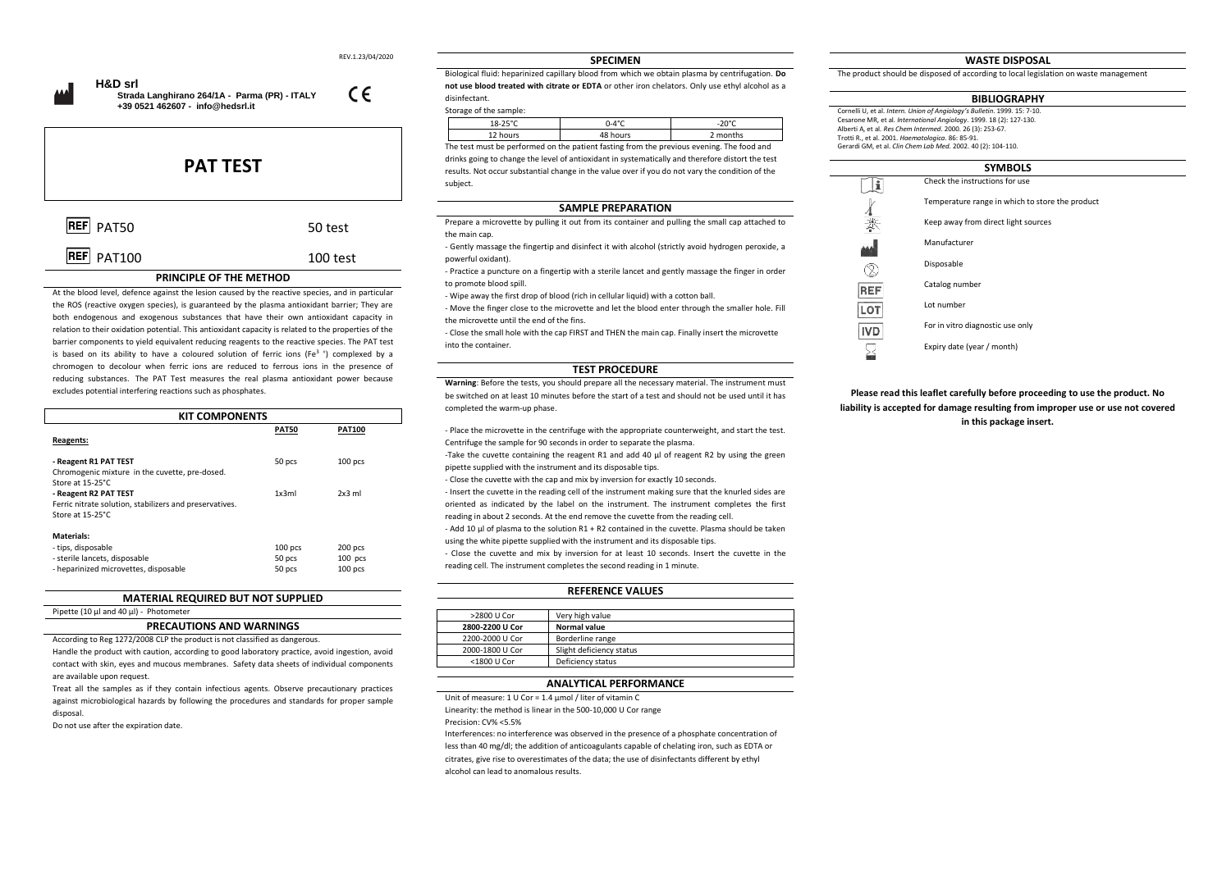REV.1.23/04/2020

 $\epsilon$ 



 **Strada Langhirano 264/1A - Parma (PR) - ITALY**

 **+39 0521 462607 - [info@hedsrl.it](mailto:info@hedsrl.it)** 

# **PAT TEST**

| REF PAT100 | 100 test |
|------------|----------|

## REF PAT50 50 test

### **PRINCIPLE OF THE METHOD**

At the blood level, defence against the lesion caused by the reactive species, and in particular the ROS (reactive oxygen species), is guaranteed by the plasma antioxidant barrier; They are both endogenous and exogenous substances that have their own antioxidant capacity in relation to their oxidation potential. This antioxidant capacity is related to the properties of the barrier components to yield equivalent reducing reagents to the reactive species. The PAT test is based on its ability to have a coloured solution of ferric ions (Fe<sup>3+</sup>) complexed by a chromogen to decolour when ferric ions are reduced to ferrous ions in the presence of reducing substances. The PAT Test measures the real plasma antioxidant power because excludes potential interfering reactions such as phosphates.

| <b>KIT COMPONENTS</b>                                                                                      |                               |                                   |
|------------------------------------------------------------------------------------------------------------|-------------------------------|-----------------------------------|
| Reagents:                                                                                                  | <b>PAT50</b>                  | <b>PAT100</b>                     |
| - Reagent R1 PAT TEST<br>Chromogenic mixture in the cuvette, pre-dosed.<br>Store at 15-25°C.               | 50 pcs                        | $100$ pcs                         |
| - Reagent R2 PAT TEST<br>Ferric nitrate solution, stabilizers and preservatives.<br>Store at 15-25°C.      | 1x3ml                         | $2x3$ ml                          |
| Materials:<br>- tips, disposable<br>- sterile lancets, disposable<br>- heparinized microvettes, disposable | $100$ pcs<br>50 pcs<br>50 pcs | 200 pcs<br>$100$ pcs<br>$100$ pcs |

#### **MATERIAL REQUIRED BUT NOT SUPPLIED**

#### Pipette (10 µl and 40 µl) - Photometer

#### **PRECAUTIONS AND WARNINGS**

According to Reg 1272/2008 CLP the product is not classified as dangerous.

Handle the product with caution, according to good laboratory practice, avoid ingestion, avoid contact with skin, eyes and mucous membranes. Safety data sheets of individual components are available upon request.

Treat all the samples as if they contain infectious agents. Observe precautionary practices against microbiological hazards by following the procedures and standards for proper sample disposal.

Do not use after the expiration date.

#### **SPECIMEN**

Biological fluid: heparinized capillary blood from which we obtain plasma by centrifugation. **Do not use blood treated with citrate or EDTA** or other iron chelators. Only use ethyl alcohol as a disinfectant.

#### Storage of the sample:

|                                                                                           | 18-25°C  | .ነ-4°C   | -20°C    |
|-------------------------------------------------------------------------------------------|----------|----------|----------|
|                                                                                           | 12 hours | 48 hours | 2 months |
| The test must be necformed on the patient facting from the provious evening. The food and |          |          |          |

The test must be performed on the patient fasting from the previous evening. The food and drinks going to change the level of antioxidant in systematically and therefore distort the test results. Not occur substantial change in the value over if you do not vary the condition of the subject.

#### **SAMPLE PREPARATION**

Prepare a microvette by pulling it out from its container and pulling the small cap attached to the main cap.

- Gently massage the fingertip and disinfect it with alcohol (strictly avoid hydrogen peroxide, a powerful oxidant).

- Practice a puncture on a fingertip with a sterile lancet and gently massage the finger in order to promote blood spill.

- Wipe away the first drop of blood (rich in cellular liquid) with a cotton ball.

- Move the finger close to the microvette and let the blood enter through the smaller hole. Fill the microvette until the end of the fins.

- Close the small hole with the cap FIRST and THEN the main cap. Finally insert the microvette into the container.

#### **TEST PROCEDURE**

**Warning**: Before the tests, you should prepare all the necessary material. The instrument must be switched on at least 10 minutes before the start of a test and should not be used until it has completed the warm-up phase.

- Place the microvette in the centrifuge with the appropriate counterweight, and start the test. Centrifuge the sample for 90 seconds in order to separate the plasma. -Take the cuvette containing the reagent R1 and add 40 μl of reagent R2 by using the green pipette supplied with the instrument and its disposable tips.

- Close the cuvette with the cap and mix by inversion for exactly 10 seconds.

- Insert the cuvette in the reading cell of the instrument making sure that the knurled sides are oriented as indicated by the label on the instrument. The instrument completes the first reading in about 2 seconds. At the end remove the cuvette from the reading cell.

- Add 10 μl of plasma to the solution R1 + R2 contained in the cuvette. Plasma should be taken using the white pipette supplied with the instrument and its disposable tips.

- Close the cuvette and mix by inversion for at least 10 seconds. Insert the cuvette in the reading cell. The instrument completes the second reading in 1 minute.

#### **REFERENCE VALUES**

| >2800 U Cor     | Very high value          |
|-----------------|--------------------------|
| 2800-2200 U Cor | <b>Normal value</b>      |
| 2200-2000 U Cor | Borderline range         |
| 2000-1800 U Cor | Slight deficiency status |
| <1800 U Cor     | Deficiency status        |
|                 |                          |

#### **ANALYTICAL PERFORMANCE**

Unit of measure: 1 U Cor = 1.4 umol / liter of vitamin C

Linearity: the method is linear in the 500-10,000 U Cor range

Precision: CV% <5.5%

Interferences: no interference was observed in the presence of a phosphate concentration of less than 40 mg/dl; the addition of anticoagulants capable of chelating iron, such as EDTA or citrates, give rise to overestimates of the data; the use of disinfectants different by ethyl alcohol can lead to anomalous results.

#### **WASTE DISPOSAL**

The product should be disposed of according to local legislation on waste management

#### **BIBLIOGRAPHY**

Cornelli U, et al. *Intern. Union of Angiology's Bulletin*. 1999. 15: 7-10. Cesarone MR, et al. *International Angiology*. 1999. 18 (2): 127-130. Alberti A, et al. *Res Chem Intermed*. 2000. 26 (3): 253-67. Trotti R., et al. 2001. *Haematologica*. 86: 85-91. Gerardi GM, et al. *Clin Chem Lab Med.* 2002. 40 (2): 104-110.



**Please read this leaflet carefully before proceeding to use the product. No liability is accepted for damage resulting from improper use or use not covered in this package insert.**